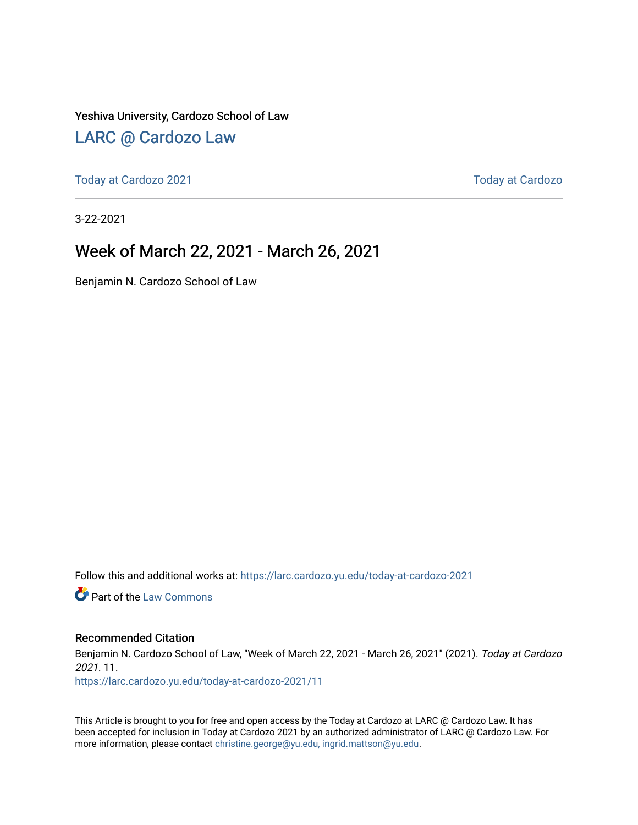Yeshiva University, Cardozo School of Law

### [LARC @ Cardozo Law](https://larc.cardozo.yu.edu/)

[Today at Cardozo 2021](https://larc.cardozo.yu.edu/today-at-cardozo-2021) **Today at Cardozo** 2021

3-22-2021

### Week of March 22, 2021 - March 26, 2021

Benjamin N. Cardozo School of Law

Follow this and additional works at: [https://larc.cardozo.yu.edu/today-at-cardozo-2021](https://larc.cardozo.yu.edu/today-at-cardozo-2021?utm_source=larc.cardozo.yu.edu%2Ftoday-at-cardozo-2021%2F11&utm_medium=PDF&utm_campaign=PDFCoverPages)

**C** Part of the [Law Commons](http://network.bepress.com/hgg/discipline/578?utm_source=larc.cardozo.yu.edu%2Ftoday-at-cardozo-2021%2F11&utm_medium=PDF&utm_campaign=PDFCoverPages)

#### Recommended Citation

Benjamin N. Cardozo School of Law, "Week of March 22, 2021 - March 26, 2021" (2021). Today at Cardozo 2021. 11.

[https://larc.cardozo.yu.edu/today-at-cardozo-2021/11](https://larc.cardozo.yu.edu/today-at-cardozo-2021/11?utm_source=larc.cardozo.yu.edu%2Ftoday-at-cardozo-2021%2F11&utm_medium=PDF&utm_campaign=PDFCoverPages) 

This Article is brought to you for free and open access by the Today at Cardozo at LARC @ Cardozo Law. It has been accepted for inclusion in Today at Cardozo 2021 by an authorized administrator of LARC @ Cardozo Law. For more information, please contact [christine.george@yu.edu, ingrid.mattson@yu.edu](mailto:christine.george@yu.edu,%20ingrid.mattson@yu.edu).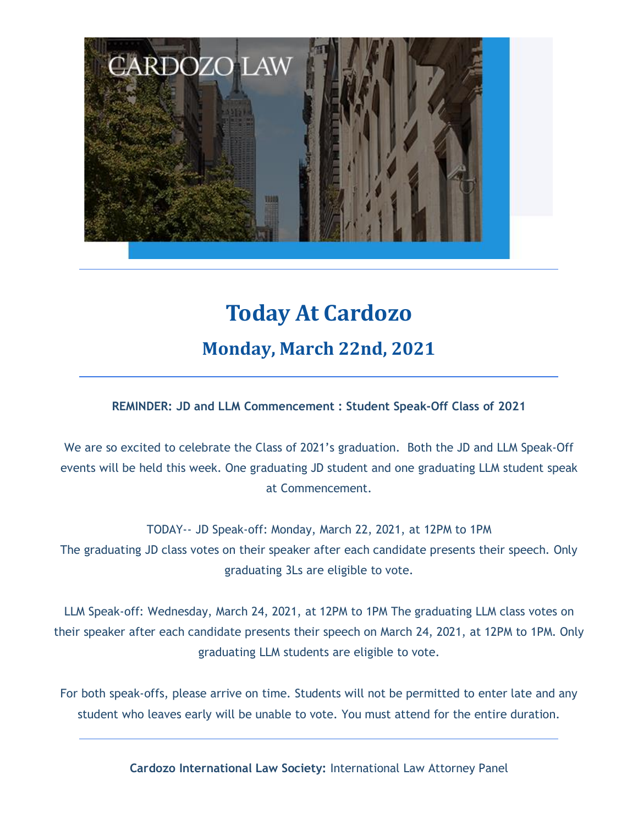

# **Today At Cardozo Monday, March 22nd, 2021**

### **REMINDER: JD and LLM Commencement : Student Speak-Off Class of 2021**

We are so excited to celebrate the Class of 2021's graduation. Both the JD and LLM Speak-Off events will be held this week. One graduating JD student and one graduating LLM student speak at Commencement.

TODAY-- JD Speak-off: Monday, March 22, 2021, at 12PM to 1PM The graduating JD class votes on their speaker after each candidate presents their speech. Only graduating 3Ls are eligible to vote.

LLM Speak-off: Wednesday, March 24, 2021, at 12PM to 1PM The graduating LLM class votes on their speaker after each candidate presents their speech on March 24, 2021, at 12PM to 1PM. Only graduating LLM students are eligible to vote.

For both speak-offs, please arrive on time. Students will not be permitted to enter late and any student who leaves early will be unable to vote. You must attend for the entire duration.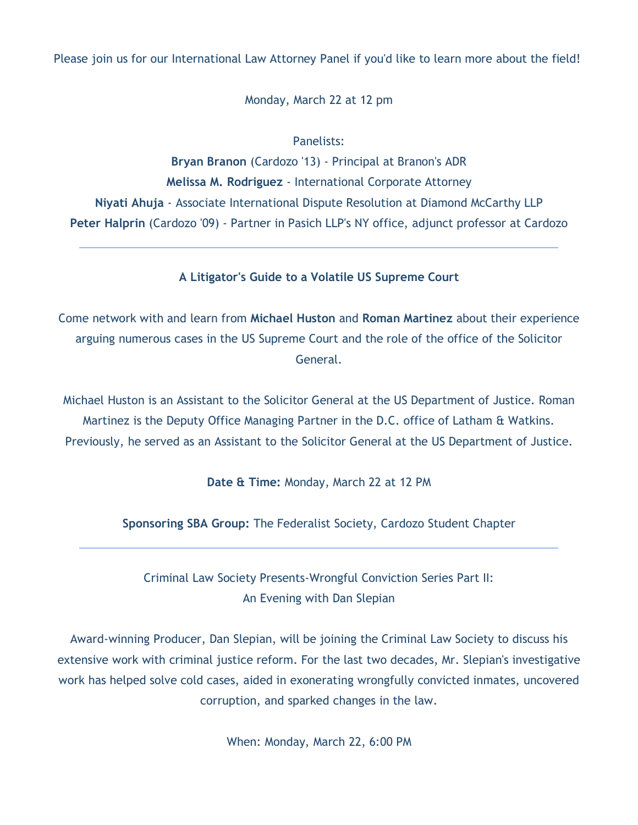Please join us for our International Law Attorney Panel if you'd like to learn more about the field!

Monday, March 22 at 12 pm

Panelists:

**Bryan Branon** (Cardozo '13) - Principal at Branon's ADR **Melissa M. Rodriguez** - International Corporate Attorney **Niyati Ahuja** - Associate International Dispute Resolution at Diamond McCarthy LLP **Peter Halprin** (Cardozo '09) - Partner in Pasich LLP's NY office, adjunct professor at Cardozo

**A Litigator's Guide to a Volatile US Supreme Court**

Come network with and learn from **Michael Huston** and **Roman Martinez** about their experience arguing numerous cases in the US Supreme Court and the role of the office of the Solicitor General.

Michael Huston is an Assistant to the Solicitor General at the US Department of Justice. Roman Martinez is the Deputy Office Managing Partner in the D.C. office of Latham & Watkins. Previously, he served as an Assistant to the Solicitor General at the US Department of Justice.

**Date & Time:** Monday, March 22 at 12 PM

**Sponsoring SBA Group:** The Federalist Society, Cardozo Student Chapter

Criminal Law Society Presents-Wrongful Conviction Series Part II: An Evening with Dan Slepian

Award-winning Producer, Dan Slepian, will be joining the Criminal Law Society to discuss his extensive work with criminal justice reform. For the last two decades, Mr. Slepian's investigative work has helped solve cold cases, aided in exonerating wrongfully convicted inmates, uncovered corruption, and sparked changes in the law.

When: Monday, March 22, 6:00 PM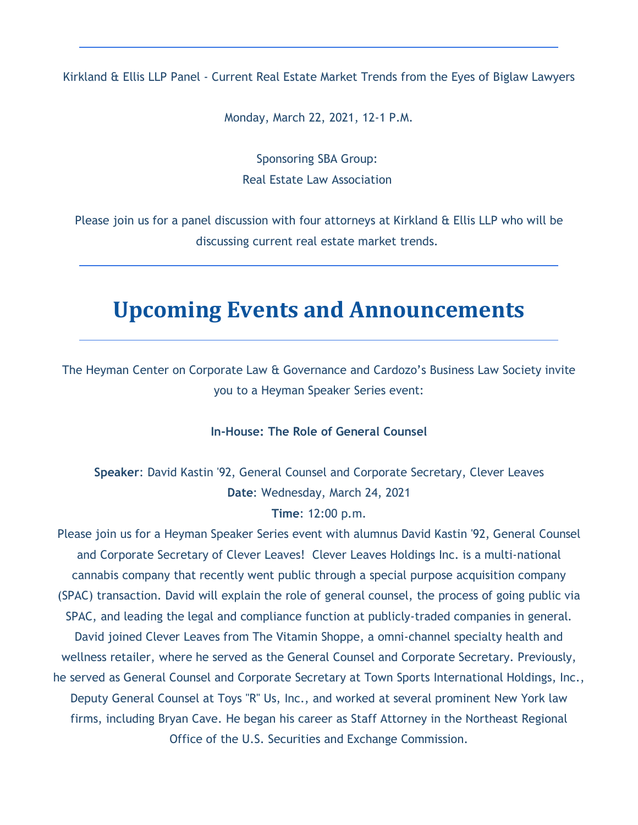Kirkland & Ellis LLP Panel - Current Real Estate Market Trends from the Eyes of Biglaw Lawyers

Monday, March 22, 2021, 12-1 P.M.

Sponsoring SBA Group: Real Estate Law Association

Please join us for a panel discussion with four attorneys at Kirkland & Ellis LLP who will be discussing current real estate market trends.

### **Upcoming Events and Announcements**

The Heyman Center on Corporate Law & Governance and Cardozo's Business Law Society invite you to a Heyman Speaker Series event:

### **In-House: The Role of General Counsel**

**Speaker**: David Kastin '92, General Counsel and Corporate Secretary, Clever Leaves **Date**: Wednesday, March 24, 2021

#### **Time**: 12:00 p.m.

Please join us for a Heyman Speaker Series event with alumnus David Kastin '92, General Counsel and Corporate Secretary of Clever Leaves! Clever Leaves Holdings Inc. is a multi-national cannabis company that recently went public through a special purpose acquisition company (SPAC) transaction. David will explain the role of general counsel, the process of going public via SPAC, and leading the legal and compliance function at publicly-traded companies in general. David joined Clever Leaves from The Vitamin Shoppe, a omni-channel specialty health and wellness retailer, where he served as the General Counsel and Corporate Secretary. Previously, he served as General Counsel and Corporate Secretary at Town Sports International Holdings, Inc., Deputy General Counsel at Toys "R" Us, Inc., and worked at several prominent New York law firms, including Bryan Cave. He began his career as Staff Attorney in the Northeast Regional Office of the U.S. Securities and Exchange Commission.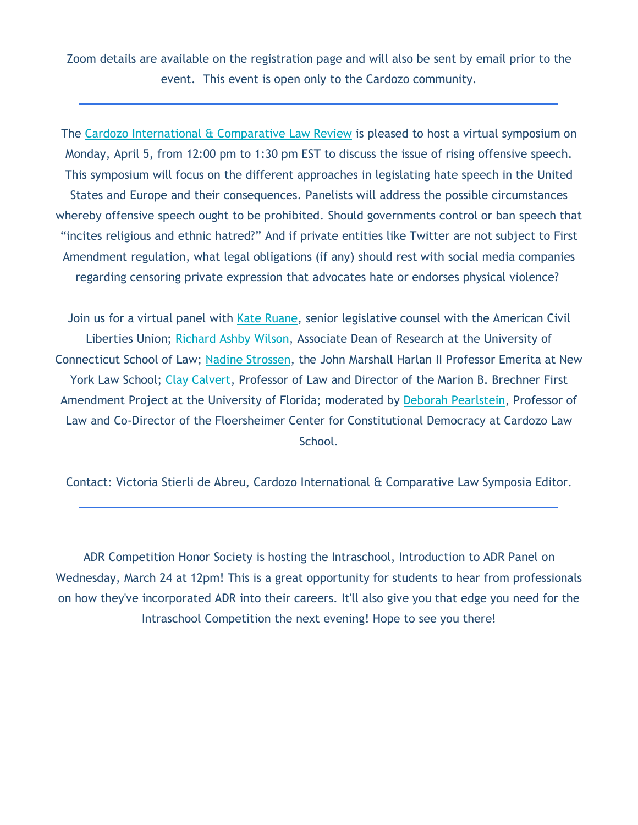Zoom details are available on the registration page and will also be sent by email prior to the event. This event is open only to the Cardozo community.

The Cardozo International & Comparative Law Review is pleased to host a virtual symposium on Monday, April 5, from 12:00 pm to 1:30 pm EST to discuss the issue of rising offensive speech. This symposium will focus on the different approaches in legislating hate speech in the United States and Europe and their consequences. Panelists will address the possible circumstances whereby offensive speech ought to be prohibited. Should governments control or ban speech that "incites religious and ethnic hatred?" And if private entities like Twitter are not subject to First Amendment regulation, what legal obligations (if any) should rest with social media companies regarding censoring private expression that advocates hate or endorses physical violence?

Join us for a virtual panel with Kate Ruane, senior legislative counsel with the American Civil Liberties Union; Richard Ashby Wilson, Associate Dean of Research at the University of Connecticut School of Law; Nadine Strossen, the John Marshall Harlan II Professor Emerita at New York Law School; Clay Calvert, Professor of Law and Director of the Marion B. Brechner First Amendment Project at the University of Florida; moderated by Deborah Pearlstein, Professor of Law and Co-Director of the Floersheimer Center for Constitutional Democracy at Cardozo Law School.

Contact: Victoria Stierli de Abreu, Cardozo International & Comparative Law Symposia Editor.

ADR Competition Honor Society is hosting the Intraschool, Introduction to ADR Panel on Wednesday, March 24 at 12pm! This is a great opportunity for students to hear from professionals on how they've incorporated ADR into their careers. It'll also give you that edge you need for the Intraschool Competition the next evening! Hope to see you there!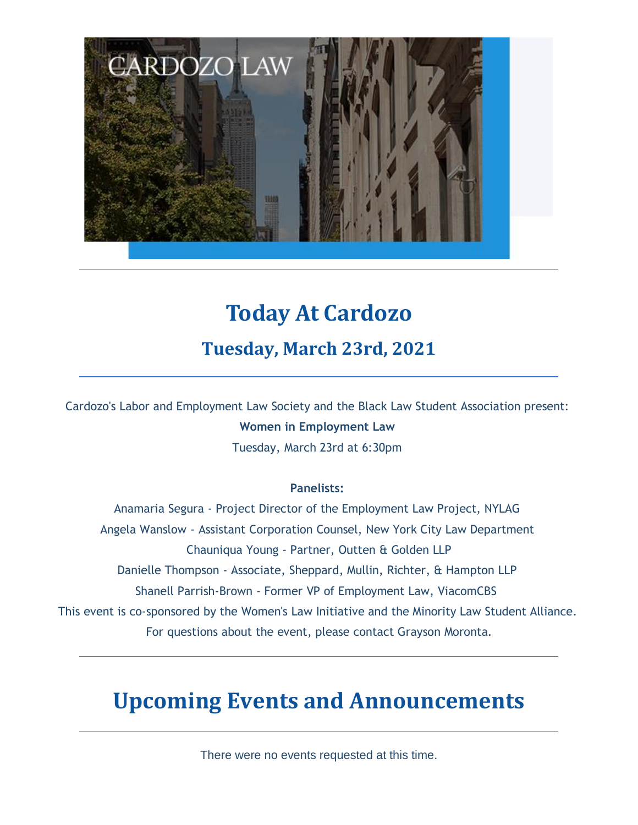

## **Today At Cardozo**

### **Tuesday, March 23rd, 2021**

Cardozo's Labor and Employment Law Society and the Black Law Student Association present: **Women in Employment Law** Tuesday, March 23rd at 6:30pm

### **Panelists:**

Anamaria Segura - Project Director of the Employment Law Project, NYLAG Angela Wanslow - Assistant Corporation Counsel, New York City Law Department Chauniqua Young - Partner, Outten & Golden LLP Danielle Thompson - Associate, Sheppard, Mullin, Richter, & Hampton LLP Shanell Parrish-Brown - Former VP of Employment Law, ViacomCBS This event is co-sponsored by the Women's Law Initiative and the Minority Law Student Alliance. For questions about the event, please contact Grayson Moronta.

## **Upcoming Events and Announcements**

There were no events requested at this time.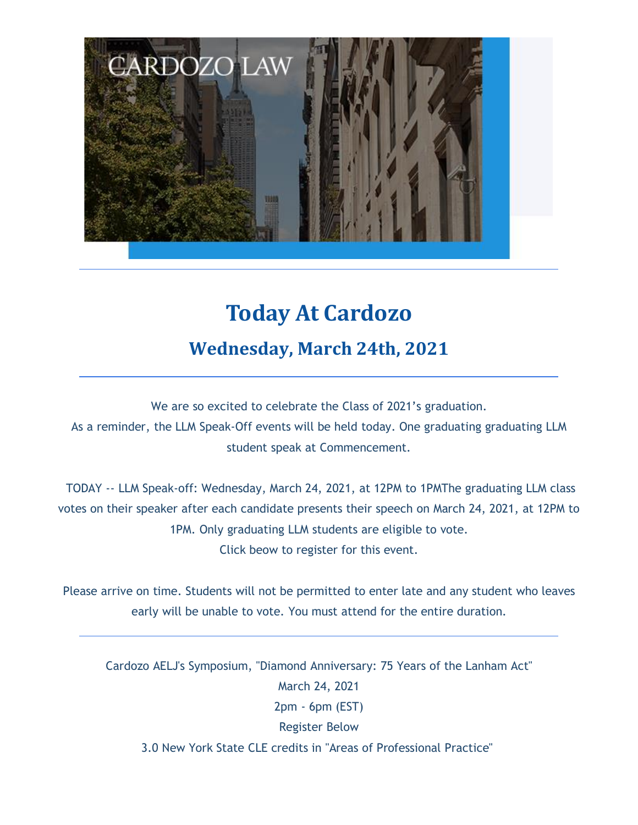

# **Today At Cardozo Wednesday, March 24th, 2021**

We are so excited to celebrate the Class of 2021's graduation. As a reminder, the LLM Speak-Off events will be held today. One graduating graduating LLM student speak at Commencement.

TODAY -- LLM Speak-off: Wednesday, March 24, 2021, at 12PM to 1PMThe graduating LLM class votes on their speaker after each candidate presents their speech on March 24, 2021, at 12PM to 1PM. Only graduating LLM students are eligible to vote. Click beow to register for this event.

Please arrive on time. Students will not be permitted to enter late and any student who leaves early will be unable to vote. You must attend for the entire duration.

Cardozo AELJ's Symposium, "Diamond Anniversary: 75 Years of the Lanham Act" March 24, 2021 2pm - 6pm (EST) Register Below 3.0 New York State CLE credits in "Areas of Professional Practice"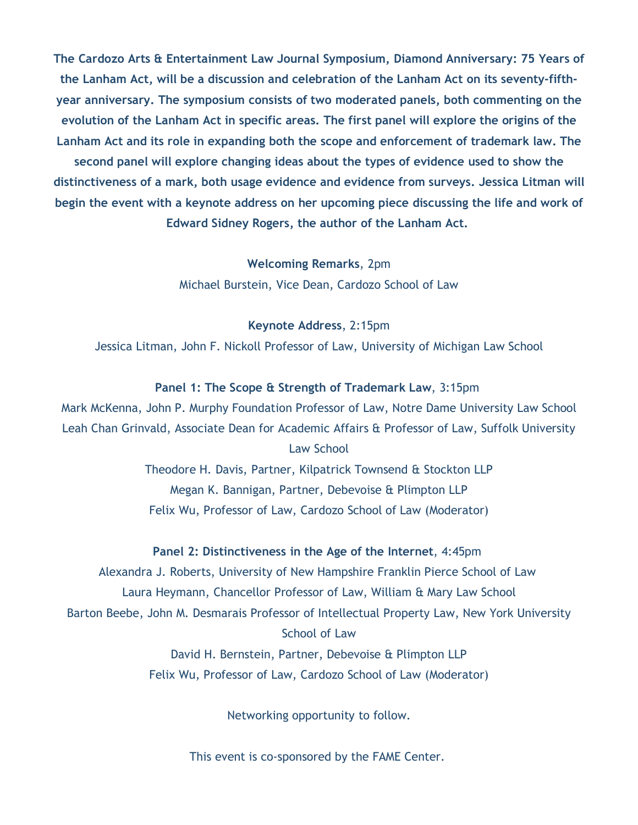**The Cardozo Arts & Entertainment Law Journal Symposium, Diamond Anniversary: 75 Years of the Lanham Act, will be a discussion and celebration of the Lanham Act on its seventy-fifthyear anniversary. The symposium consists of two moderated panels, both commenting on the evolution of the Lanham Act in specific areas. The first panel will explore the origins of the Lanham Act and its role in expanding both the scope and enforcement of trademark law. The second panel will explore changing ideas about the types of evidence used to show the distinctiveness of a mark, both usage evidence and evidence from surveys. Jessica Litman will begin the event with a keynote address on her upcoming piece discussing the life and work of Edward Sidney Rogers, the author of the Lanham Act.**

> **Welcoming Remarks**, 2pm Michael Burstein, Vice Dean, Cardozo School of Law

> > **Keynote Address**, 2:15pm

Jessica Litman, John F. Nickoll Professor of Law, University of Michigan Law School

#### **Panel 1: The Scope & Strength of Trademark Law**, 3:15pm

Mark McKenna, John P. Murphy Foundation Professor of Law, Notre Dame University Law School Leah Chan Grinvald, Associate Dean for Academic Affairs & Professor of Law, Suffolk University Law School

> Theodore H. Davis, Partner, Kilpatrick Townsend & Stockton LLP Megan K. Bannigan, Partner, Debevoise & Plimpton LLP Felix Wu, Professor of Law, Cardozo School of Law (Moderator)

#### **Panel 2: Distinctiveness in the Age of the Internet**, 4:45pm

Alexandra J. Roberts, University of New Hampshire Franklin Pierce School of Law Laura Heymann, Chancellor Professor of Law, William & Mary Law School Barton Beebe, John M. Desmarais Professor of Intellectual Property Law, New York University School of Law

David H. Bernstein, Partner, Debevoise & Plimpton LLP Felix Wu, Professor of Law, Cardozo School of Law (Moderator)

Networking opportunity to follow.

This event is co-sponsored by the FAME Center.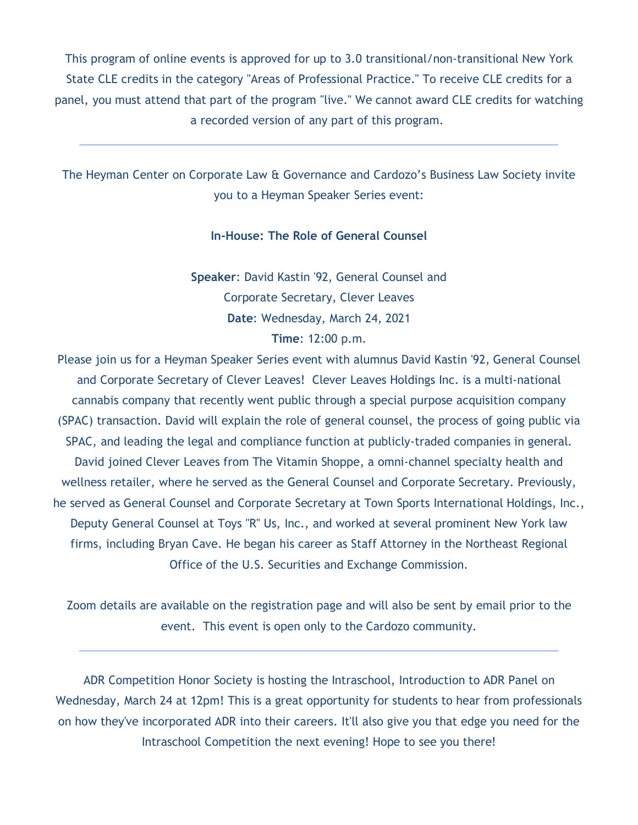This program of online events is approved for up to 3.0 transitional/non-transitional New York State CLE credits in the category "Areas of Professional Practice." To receive CLE credits for a panel, you must attend that part of the program "live." We cannot award CLE credits for watching a recorded version of any part of this program.

The Heyman Center on Corporate Law & Governance and Cardozo's Business Law Society invite you to a Heyman Speaker Series event:

### **In-House: The Role of General Counsel**

**Speaker**: David Kastin '92, General Counsel and Corporate Secretary, Clever Leaves **Date**: Wednesday, March 24, 2021 **Time**: 12:00 p.m.

Please join us for a Heyman Speaker Series event with alumnus David Kastin '92, General Counsel and Corporate Secretary of Clever Leaves! Clever Leaves Holdings Inc. is a multi-national cannabis company that recently went public through a special purpose acquisition company (SPAC) transaction. David will explain the role of general counsel, the process of going public via SPAC, and leading the legal and compliance function at publicly-traded companies in general. David joined Clever Leaves from The Vitamin Shoppe, a omni-channel specialty health and wellness retailer, where he served as the General Counsel and Corporate Secretary. Previously, he served as General Counsel and Corporate Secretary at Town Sports International Holdings, Inc., Deputy General Counsel at Toys "R" Us, Inc., and worked at several prominent New York law firms, including Bryan Cave. He began his career as Staff Attorney in the Northeast Regional Office of the U.S. Securities and Exchange Commission.

Zoom details are available on the registration page and will also be sent by email prior to the event. This event is open only to the Cardozo community.

ADR Competition Honor Society is hosting the Intraschool, Introduction to ADR Panel on Wednesday, March 24 at 12pm! This is a great opportunity for students to hear from professionals on how they've incorporated ADR into their careers. It'll also give you that edge you need for the Intraschool Competition the next evening! Hope to see you there!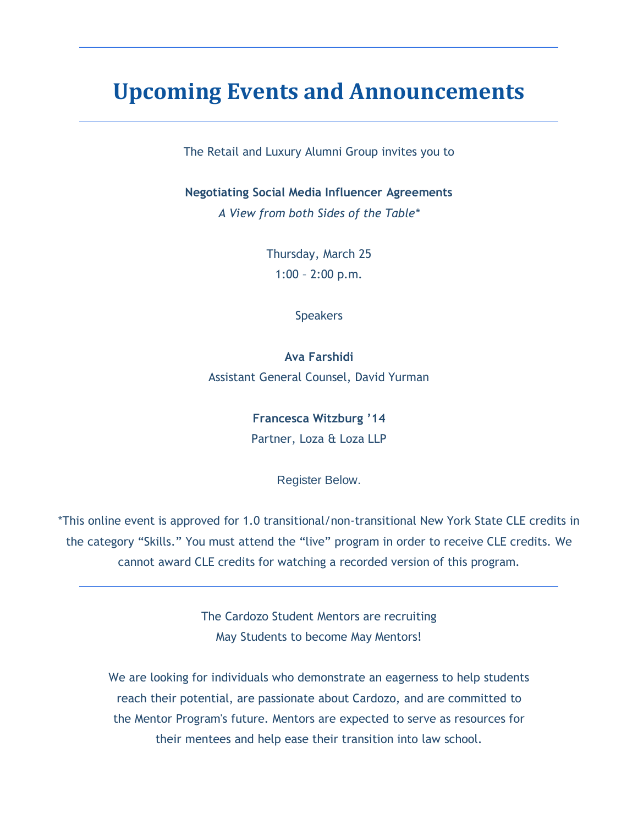### **Upcoming Events and Announcements**

The Retail and Luxury Alumni Group invites you to

**Negotiating Social Media Influencer Agreements**

*A View from both Sides of the Table\**

Thursday, March 25 1:00 – 2:00 p.m.

**Speakers** 

**Ava Farshidi** Assistant General Counsel, David Yurman

> **Francesca Witzburg '14** Partner, Loza & Loza LLP

> > Register Below.

\*This online event is approved for 1.0 transitional/non-transitional New York State CLE credits in the category "Skills." You must attend the "live" program in order to receive CLE credits. We cannot award CLE credits for watching a recorded version of this program.

> The Cardozo Student Mentors are recruiting May Students to become May Mentors!

We are looking for individuals who demonstrate an eagerness to help students reach their potential, are passionate about Cardozo, and are committed to the Mentor Program's future. Mentors are expected to serve as resources for their mentees and help ease their transition into law school.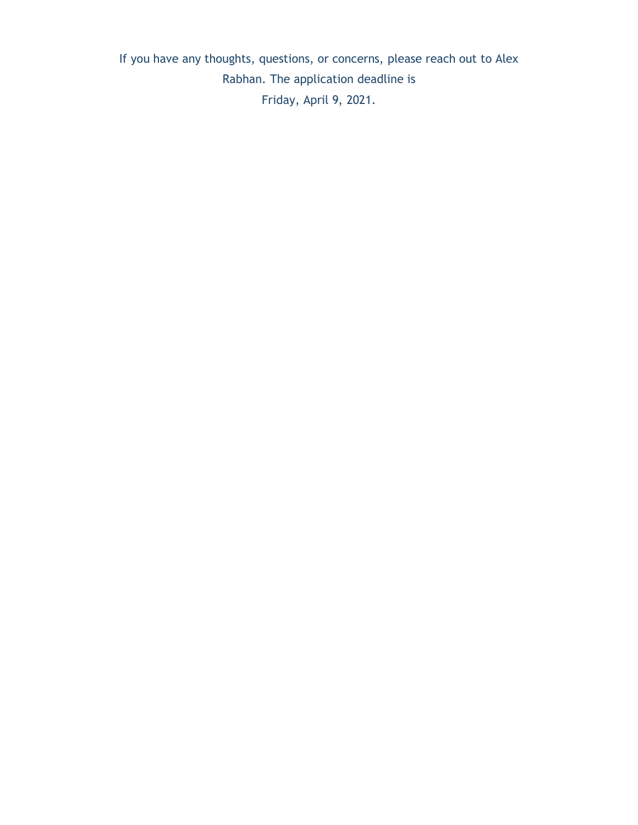If you have any thoughts, questions, or concerns, please reach out to Alex Rabhan. The application deadline is Friday, April 9, 2021.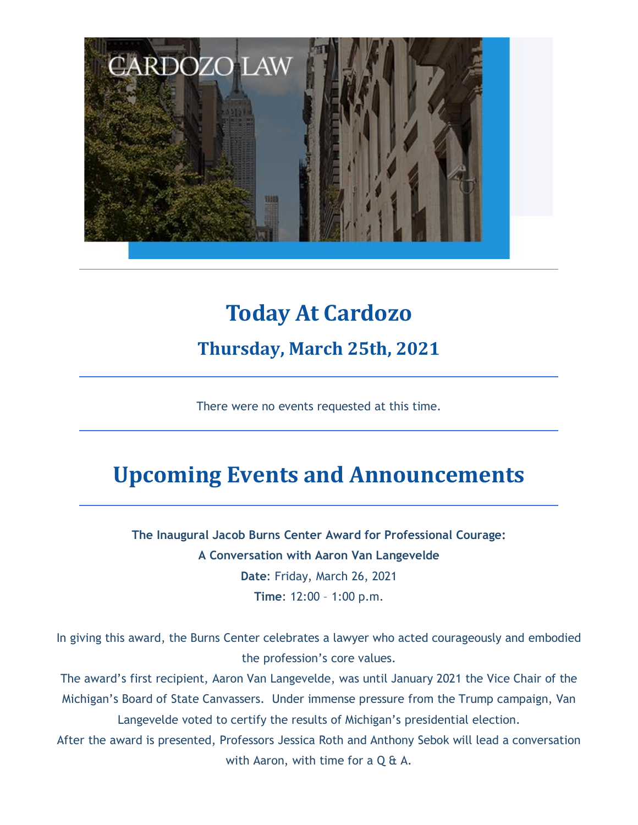

# **Today At Cardozo Thursday, March 25th, 2021**

There were no events requested at this time.

## **Upcoming Events and Announcements**

**The Inaugural Jacob Burns Center Award for Professional Courage: A Conversation with Aaron Van Langevelde Date**: Friday, March 26, 2021 **Time**: 12:00 – 1:00 p.m.

In giving this award, the Burns Center celebrates a lawyer who acted courageously and embodied the profession's core values.

The award's first recipient, Aaron Van Langevelde, was until January 2021 the Vice Chair of the Michigan's Board of State Canvassers. Under immense pressure from the Trump campaign, Van Langevelde voted to certify the results of Michigan's presidential election.

After the award is presented, Professors Jessica Roth and Anthony Sebok will lead a conversation with Aaron, with time for a  $Q \nleftrightarrow A$ .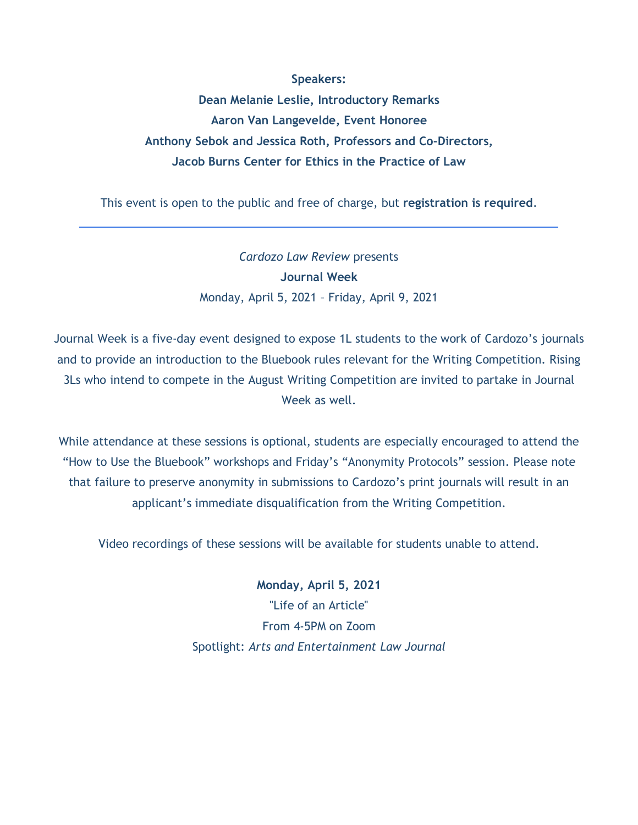#### **Speakers:**

**Dean Melanie Leslie, Introductory Remarks Aaron Van Langevelde, Event Honoree Anthony Sebok and Jessica Roth, Professors and Co-Directors, Jacob Burns Center for Ethics in the Practice of Law**

This event is open to the public and free of charge, but **registration is required**.

*Cardozo Law Review* presents **Journal Week** Monday, April 5, 2021 – Friday, April 9, 2021

Journal Week is a five-day event designed to expose 1L students to the work of Cardozo's journals and to provide an introduction to the Bluebook rules relevant for the Writing Competition. Rising 3Ls who intend to compete in the August Writing Competition are invited to partake in Journal Week as well.

While attendance at these sessions is optional, students are especially encouraged to attend the "How to Use the Bluebook" workshops and Friday's "Anonymity Protocols" session. Please note that failure to preserve anonymity in submissions to Cardozo's print journals will result in an applicant's immediate disqualification from the Writing Competition.

Video recordings of these sessions will be available for students unable to attend.

**Monday, April 5, 2021** "Life of an Article" From 4-5PM on Zoom Spotlight: *Arts and Entertainment Law Journal*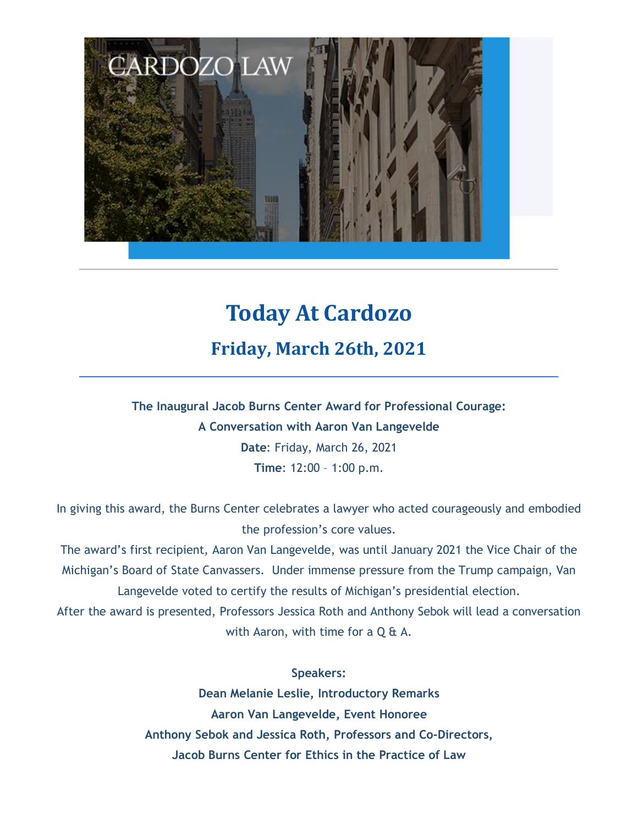

# **Today At Cardozo Friday, March 26th, 2021**

**The Inaugural Jacob Burns Center Award for Professional Courage: A Conversation with Aaron Van Langevelde Date**: Friday, March 26, 2021 **Time**: 12:00 – 1:00 p.m.

In giving this award, the Burns Center celebrates a lawyer who acted courageously and embodied the profession's core values.

The award's first recipient, Aaron Van Langevelde, was until January 2021 the Vice Chair of the Michigan's Board of State Canvassers. Under immense pressure from the Trump campaign, Van Langevelde voted to certify the results of Michigan's presidential election.

After the award is presented, Professors Jessica Roth and Anthony Sebok will lead a conversation with Aaron, with time for a  $Q \& A$ .

### **Speakers:**

**Dean Melanie Leslie, Introductory Remarks Aaron Van Langevelde, Event Honoree Anthony Sebok and Jessica Roth, Professors and Co-Directors, Jacob Burns Center for Ethics in the Practice of Law**